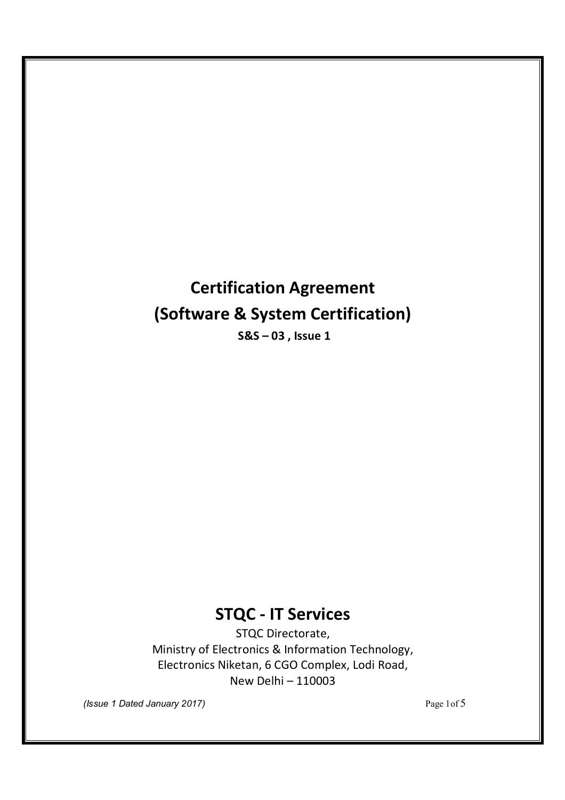# **Certification Agreement (Software & System Certification)**

**S&S – 03 , Issue 1** 

# **STQC - IT Services**

STQC Directorate, Ministry of Electronics & Information Technology, Electronics Niketan, 6 CGO Complex, Lodi Road, New Delhi – 110003

*(Issue 1 Dated January 2017)* Page 1of 5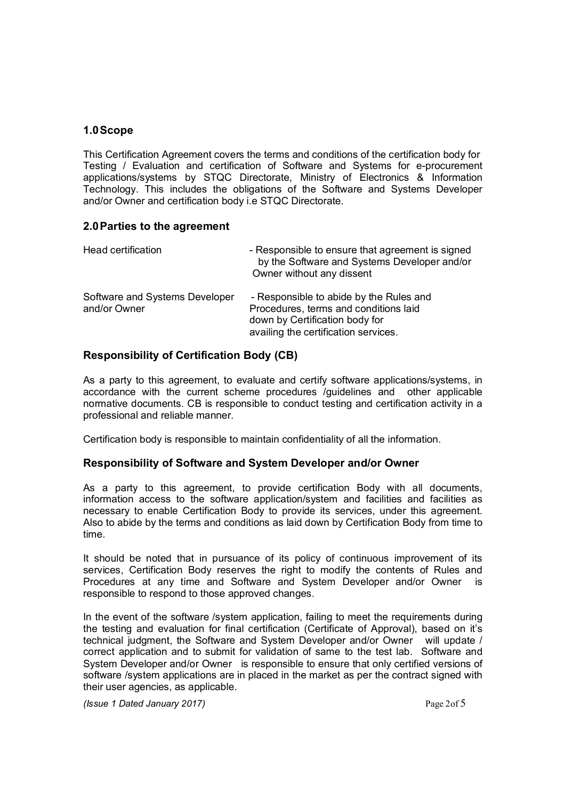#### **1.0Scope**

This Certification Agreement covers the terms and conditions of the certification body for Testing / Evaluation and certification of Software and Systems for e-procurement applications/systems by STQC Directorate, Ministry of Electronics & Information Technology. This includes the obligations of the Software and Systems Developer and/or Owner and certification body i.e STQC Directorate.

#### **2.0Parties to the agreement**

| Head certification                             | - Responsible to ensure that agreement is signed<br>by the Software and Systems Developer and/or<br>Owner without any dissent                              |
|------------------------------------------------|------------------------------------------------------------------------------------------------------------------------------------------------------------|
| Software and Systems Developer<br>and/or Owner | - Responsible to abide by the Rules and<br>Procedures, terms and conditions laid<br>down by Certification body for<br>availing the certification services. |

### **Responsibility of Certification Body (CB)**

As a party to this agreement, to evaluate and certify software applications/systems, in accordance with the current scheme procedures /guidelines and other applicable normative documents. CB is responsible to conduct testing and certification activity in a professional and reliable manner.

Certification body is responsible to maintain confidentiality of all the information.

#### **Responsibility of Software and System Developer and/or Owner**

As a party to this agreement, to provide certification Body with all documents, information access to the software application/system and facilities and facilities as necessary to enable Certification Body to provide its services, under this agreement. Also to abide by the terms and conditions as laid down by Certification Body from time to time.

It should be noted that in pursuance of its policy of continuous improvement of its services, Certification Body reserves the right to modify the contents of Rules and Procedures at any time and Software and System Developer and/or Owner is responsible to respond to those approved changes.

In the event of the software /system application, failing to meet the requirements during the testing and evaluation for final certification (Certificate of Approval), based on it's technical judgment, the Software and System Developer and/or Owner will update / correct application and to submit for validation of same to the test lab. Software and System Developer and/or Owner is responsible to ensure that only certified versions of software /system applications are in placed in the market as per the contract signed with their user agencies, as applicable.

*(Issue 1 Dated January 2017)* Page 2of 5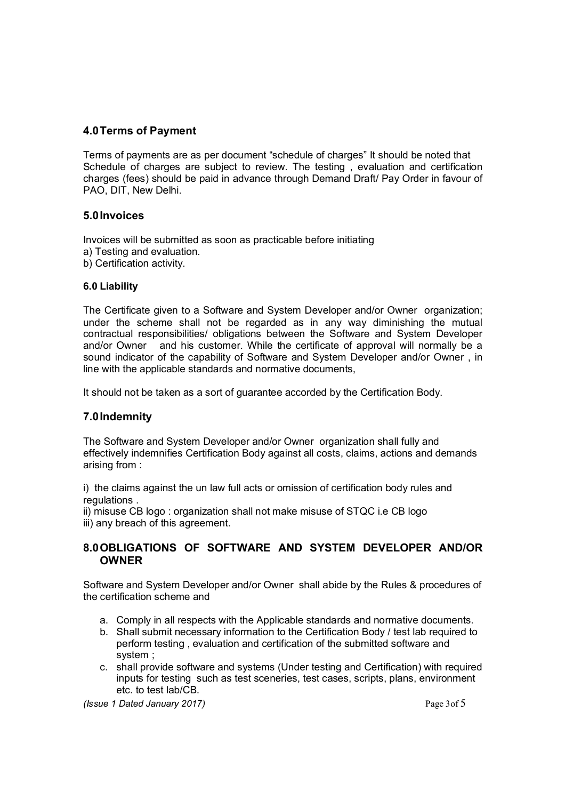#### **4.0Terms of Payment**

Terms of payments are as per document "schedule of charges" It should be noted that Schedule of charges are subject to review. The testing , evaluation and certification charges (fees) should be paid in advance through Demand Draft/ Pay Order in favour of PAO, DIT, New Delhi.

#### **5.0Invoices**

Invoices will be submitted as soon as practicable before initiating

- a) Testing and evaluation.
- b) Certification activity.

#### **6.0 Liability**

The Certificate given to a Software and System Developer and/or Owner organization; under the scheme shall not be regarded as in any way diminishing the mutual contractual responsibilities/ obligations between the Software and System Developer and/or Owner and his customer. While the certificate of approval will normally be a sound indicator of the capability of Software and System Developer and/or Owner , in line with the applicable standards and normative documents,

It should not be taken as a sort of guarantee accorded by the Certification Body.

#### **7.0Indemnity**

The Software and System Developer and/or Owner organization shall fully and effectively indemnifies Certification Body against all costs, claims, actions and demands arising from :

i) the claims against the un law full acts or omission of certification body rules and regulations .

ii) misuse CB logo : organization shall not make misuse of STQC i.e CB logo iii) any breach of this agreement.

#### **8.0OBLIGATIONS OF SOFTWARE AND SYSTEM DEVELOPER AND/OR OWNER**

Software and System Developer and/or Owner shall abide by the Rules & procedures of the certification scheme and

- a. Comply in all respects with the Applicable standards and normative documents.
- b. Shall submit necessary information to the Certification Body / test lab required to perform testing , evaluation and certification of the submitted software and system ;
- c. shall provide software and systems (Under testing and Certification) with required inputs for testing such as test sceneries, test cases, scripts, plans, environment etc. to test lab/CB.

*(Issue 1 Dated January 2017)* Page 3of 5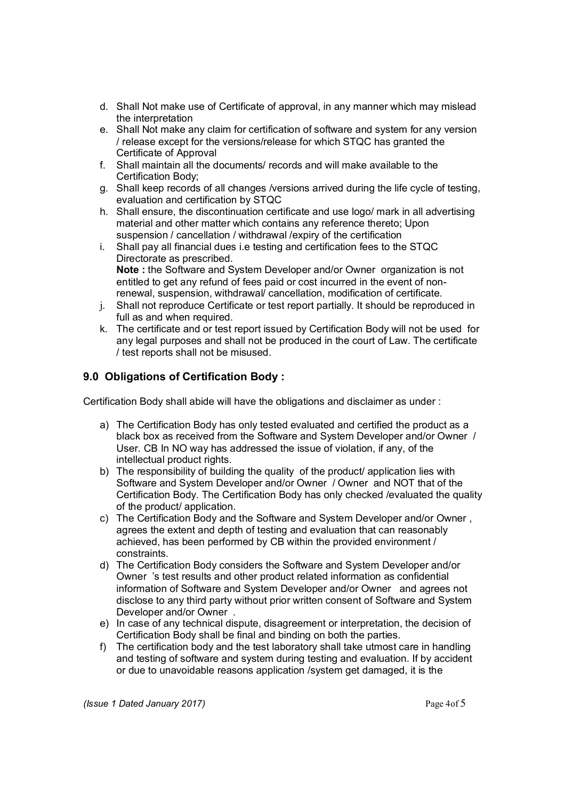- d. Shall Not make use of Certificate of approval, in any manner which may mislead the interpretation
- e. Shall Not make any claim for certification of software and system for any version / release except for the versions/release for which STQC has granted the Certificate of Approval
- f. Shall maintain all the documents/ records and will make available to the Certification Body;
- g. Shall keep records of all changes /versions arrived during the life cycle of testing, evaluation and certification by STQC
- h. Shall ensure, the discontinuation certificate and use logo/ mark in all advertising material and other matter which contains any reference thereto; Upon suspension / cancellation / withdrawal /expiry of the certification
- i. Shall pay all financial dues i.e testing and certification fees to the STQC Directorate as prescribed. **Note :** the Software and System Developer and/or Owner organization is not entitled to get any refund of fees paid or cost incurred in the event of nonrenewal, suspension, withdrawal/ cancellation, modification of certificate.
- j. Shall not reproduce Certificate or test report partially. It should be reproduced in full as and when required.
- k. The certificate and or test report issued by Certification Body will not be used for any legal purposes and shall not be produced in the court of Law. The certificate / test reports shall not be misused.

## **9.0 Obligations of Certification Body :**

Certification Body shall abide will have the obligations and disclaimer as under :

- a) The Certification Body has only tested evaluated and certified the product as a black box as received from the Software and System Developer and/or Owner / User. CB In NO way has addressed the issue of violation, if any, of the intellectual product rights.
- b) The responsibility of building the quality of the product/ application lies with Software and System Developer and/or Owner / Owner and NOT that of the Certification Body. The Certification Body has only checked /evaluated the quality of the product/ application.
- c) The Certification Body and the Software and System Developer and/or Owner , agrees the extent and depth of testing and evaluation that can reasonably achieved, has been performed by CB within the provided environment / constraints.
- d) The Certification Body considers the Software and System Developer and/or Owner 's test results and other product related information as confidential information of Software and System Developer and/or Owner and agrees not disclose to any third party without prior written consent of Software and System Developer and/or Owner .
- e) In case of any technical dispute, disagreement or interpretation, the decision of Certification Body shall be final and binding on both the parties.
- f) The certification body and the test laboratory shall take utmost care in handling and testing of software and system during testing and evaluation. If by accident or due to unavoidable reasons application /system get damaged, it is the

*(Issue 1 Dated January 2017)* Page 4of 5